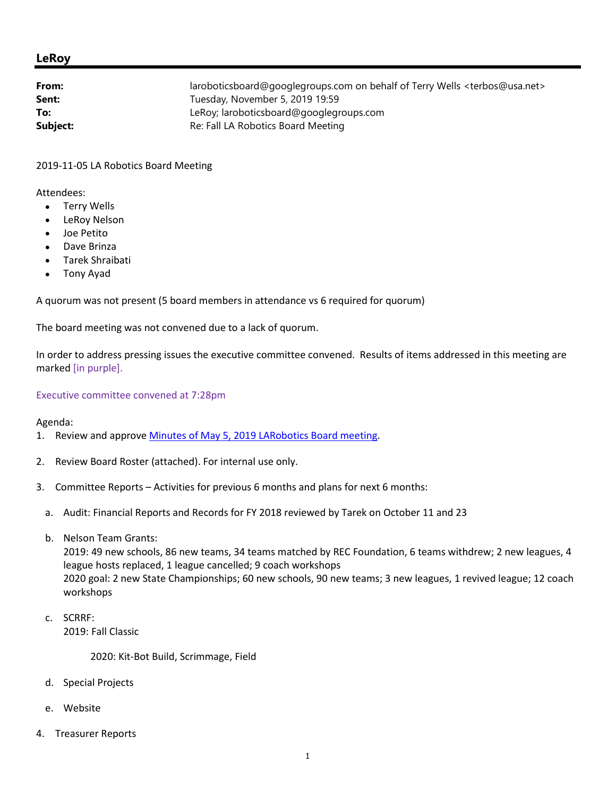## **LeRoy**

| From:    | laroboticsboard@googlegroups.com on behalf of Terry Wells <terbos@usa.net></terbos@usa.net> |
|----------|---------------------------------------------------------------------------------------------|
| Sent:    | Tuesday, November 5, 2019 19:59                                                             |
| To:      | LeRoy; laroboticsboard@googlegroups.com                                                     |
| Subject: | Re: Fall LA Robotics Board Meeting                                                          |
|          |                                                                                             |

2019-11-05 LA Robotics Board Meeting

Attendees:

- Terry Wells
- LeRoy Nelson
- Joe Petito
- Dave Brinza
- Tarek Shraibati
- Tony Ayad

A quorum was not present (5 board members in attendance vs 6 required for quorum)

The board meeting was not convened due to a lack of quorum.

In order to address pressing issues the executive committee convened. Results of items addressed in this meeting are marked [in purple].

Executive committee convened at 7:28pm

Agenda:

- 1. Review and approve Minutes of May 5, 2019 LARobotics Board meeting.
- 2. Review Board Roster (attached). For internal use only.
- 3. Committee Reports Activities for previous 6 months and plans for next 6 months:
	- a. Audit: Financial Reports and Records for FY 2018 reviewed by Tarek on October 11 and 23
	- b. Nelson Team Grants:

2019: 49 new schools, 86 new teams, 34 teams matched by REC Foundation, 6 teams withdrew; 2 new leagues, 4 league hosts replaced, 1 league cancelled; 9 coach workshops 2020 goal: 2 new State Championships; 60 new schools, 90 new teams; 3 new leagues, 1 revived league; 12 coach workshops

c. SCRRF: 2019: Fall Classic

2020: Kit-Bot Build, Scrimmage, Field

- d. Special Projects
- e. Website
- 4. Treasurer Reports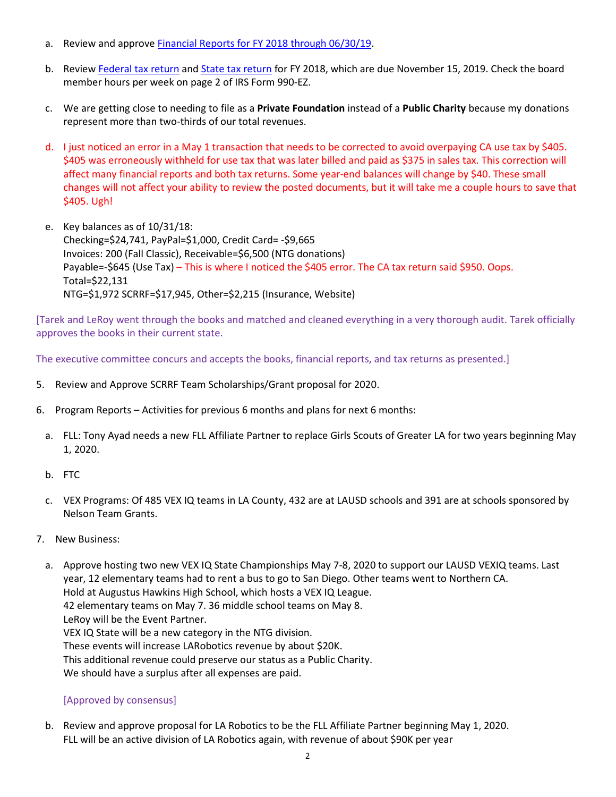- a. Review and approve Financial Reports for FY 2018 through 06/30/19.
- b. Review Federal tax return and State tax return for FY 2018, which are due November 15, 2019. Check the board member hours per week on page 2 of IRS Form 990-EZ.
- c. We are getting close to needing to file as a **Private Foundation** instead of a **Public Charity** because my donations represent more than two-thirds of our total revenues.
- d. I just noticed an error in a May 1 transaction that needs to be corrected to avoid overpaying CA use tax by \$405. \$405 was erroneously withheld for use tax that was later billed and paid as \$375 in sales tax. This correction will affect many financial reports and both tax returns. Some year-end balances will change by \$40. These small changes will not affect your ability to review the posted documents, but it will take me a couple hours to save that \$405. Ugh!
- e. Key balances as of 10/31/18: Checking=\$24,741, PayPal=\$1,000, Credit Card= -\$9,665 Invoices: 200 (Fall Classic), Receivable=\$6,500 (NTG donations) Payable=-\$645 (Use Tax) – This is where I noticed the \$405 error. The CA tax return said \$950. Oops. Total=\$22,131 NTG=\$1,972 SCRRF=\$17,945, Other=\$2,215 (Insurance, Website)

[Tarek and LeRoy went through the books and matched and cleaned everything in a very thorough audit. Tarek officially approves the books in their current state.

The executive committee concurs and accepts the books, financial reports, and tax returns as presented.]

- 5. Review and Approve SCRRF Team Scholarships/Grant proposal for 2020.
- 6. Program Reports Activities for previous 6 months and plans for next 6 months:
	- a. FLL: Tony Ayad needs a new FLL Affiliate Partner to replace Girls Scouts of Greater LA for two years beginning May 1, 2020.
	- b. FTC
	- c. VEX Programs: Of 485 VEX IQ teams in LA County, 432 are at LAUSD schools and 391 are at schools sponsored by Nelson Team Grants.
- 7. New Business:
	- a. Approve hosting two new VEX IQ State Championships May 7-8, 2020 to support our LAUSD VEXIQ teams. Last year, 12 elementary teams had to rent a bus to go to San Diego. Other teams went to Northern CA. Hold at Augustus Hawkins High School, which hosts a VEX IQ League. 42 elementary teams on May 7. 36 middle school teams on May 8. LeRoy will be the Event Partner. VEX IQ State will be a new category in the NTG division. These events will increase LARobotics revenue by about \$20K. This additional revenue could preserve our status as a Public Charity. We should have a surplus after all expenses are paid.

## [Approved by consensus]

b. Review and approve proposal for LA Robotics to be the FLL Affiliate Partner beginning May 1, 2020. FLL will be an active division of LA Robotics again, with revenue of about \$90K per year